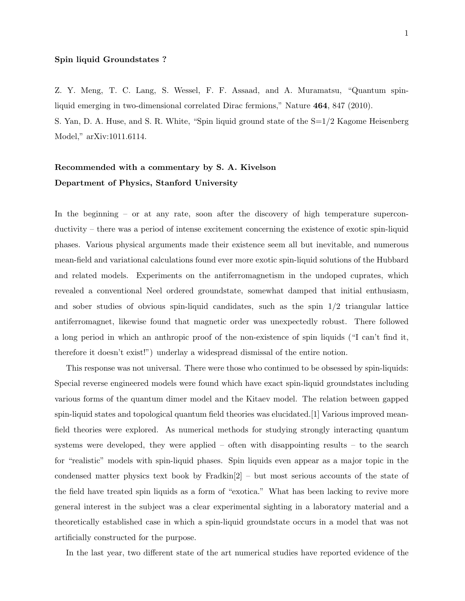## Spin liquid Groundstates ?

Z. Y. Meng, T. C. Lang, S. Wessel, F. F. Assaad, and A. Muramatsu, "Quantum spinliquid emerging in two-dimensional correlated Dirac fermions," Nature 464, 847 (2010). S. Yan, D. A. Huse, and S. R. White, "Spin liquid ground state of the S=1/2 Kagome Heisenberg Model," arXiv:1011.6114.

## Recommended with a commentary by S. A. Kivelson Department of Physics, Stanford University

In the beginning – or at any rate, soon after the discovery of high temperature superconductivity – there was a period of intense excitement concerning the existence of exotic spin-liquid phases. Various physical arguments made their existence seem all but inevitable, and numerous mean-field and variational calculations found ever more exotic spin-liquid solutions of the Hubbard and related models. Experiments on the antiferromagnetism in the undoped cuprates, which revealed a conventional Neel ordered groundstate, somewhat damped that initial enthusiasm, and sober studies of obvious spin-liquid candidates, such as the spin  $1/2$  triangular lattice antiferromagnet, likewise found that magnetic order was unexpectedly robust. There followed a long period in which an anthropic proof of the non-existence of spin liquids ("I can't find it, therefore it doesn't exist!") underlay a widespread dismissal of the entire notion.

This response was not universal. There were those who continued to be obsessed by spin-liquids: Special reverse engineered models were found which have exact spin-liquid groundstates including various forms of the quantum dimer model and the Kitaev model. The relation between gapped spin-liquid states and topological quantum field theories was elucidated.[1] Various improved meanfield theories were explored. As numerical methods for studying strongly interacting quantum systems were developed, they were applied – often with disappointing results – to the search for "realistic" models with spin-liquid phases. Spin liquids even appear as a major topic in the condensed matter physics text book by Fradkin[2] – but most serious accounts of the state of the field have treated spin liquids as a form of "exotica." What has been lacking to revive more general interest in the subject was a clear experimental sighting in a laboratory material and a theoretically established case in which a spin-liquid groundstate occurs in a model that was not artificially constructed for the purpose.

In the last year, two different state of the art numerical studies have reported evidence of the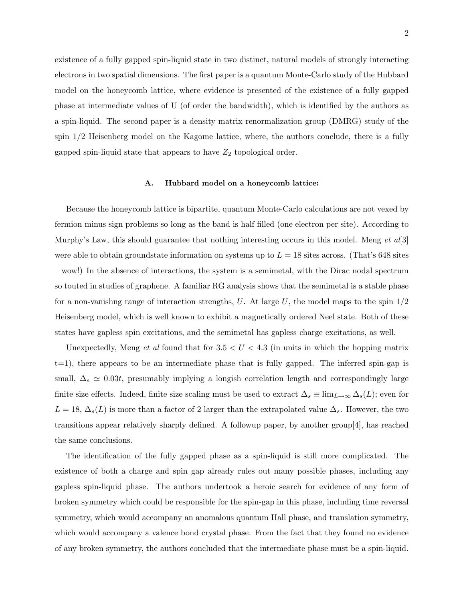existence of a fully gapped spin-liquid state in two distinct, natural models of strongly interacting electrons in two spatial dimensions. The first paper is a quantum Monte-Carlo study of the Hubbard model on the honeycomb lattice, where evidence is presented of the existence of a fully gapped phase at intermediate values of U (of order the bandwidth), which is identified by the authors as a spin-liquid. The second paper is a density matrix renormalization group (DMRG) study of the spin 1/2 Heisenberg model on the Kagome lattice, where, the authors conclude, there is a fully gapped spin-liquid state that appears to have  $Z_2$  topological order.

## A. Hubbard model on a honeycomb lattice:

Because the honeycomb lattice is bipartite, quantum Monte-Carlo calculations are not vexed by fermion minus sign problems so long as the band is half filled (one electron per site). According to Murphy's Law, this should guarantee that nothing interesting occurs in this model. Meng *et al*[3] were able to obtain groundstate information on systems up to  $L = 18$  sites across. (That's 648 sites – wow!) In the absence of interactions, the system is a semimetal, with the Dirac nodal spectrum so touted in studies of graphene. A familiar RG analysis shows that the semimetal is a stable phase for a non-vanishig range of interaction strengths, U. At large U, the model maps to the spin  $1/2$ Heisenberg model, which is well known to exhibit a magnetically ordered Neel state. Both of these states have gapless spin excitations, and the semimetal has gapless charge excitations, as well.

Unexpectedly, Meng *et al* found that for  $3.5 < U < 4.3$  (in units in which the hopping matrix  $t=1$ , there appears to be an intermediate phase that is fully gapped. The inferred spin-gap is small,  $\Delta_s \simeq 0.03t$ , presumably implying a longish correlation length and correspondingly large finite size effects. Indeed, finite size scaling must be used to extract  $\Delta_s \equiv \lim_{L\to\infty} \Delta_s(L)$ ; even for  $L = 18$ ,  $\Delta_s(L)$  is more than a factor of 2 larger than the extrapolated value  $\Delta_s$ . However, the two transitions appear relatively sharply defined. A followup paper, by another group[4], has reached the same conclusions.

The identification of the fully gapped phase as a spin-liquid is still more complicated. The existence of both a charge and spin gap already rules out many possible phases, including any gapless spin-liquid phase. The authors undertook a heroic search for evidence of any form of broken symmetry which could be responsible for the spin-gap in this phase, including time reversal symmetry, which would accompany an anomalous quantum Hall phase, and translation symmetry, which would accompany a valence bond crystal phase. From the fact that they found no evidence of any broken symmetry, the authors concluded that the intermediate phase must be a spin-liquid.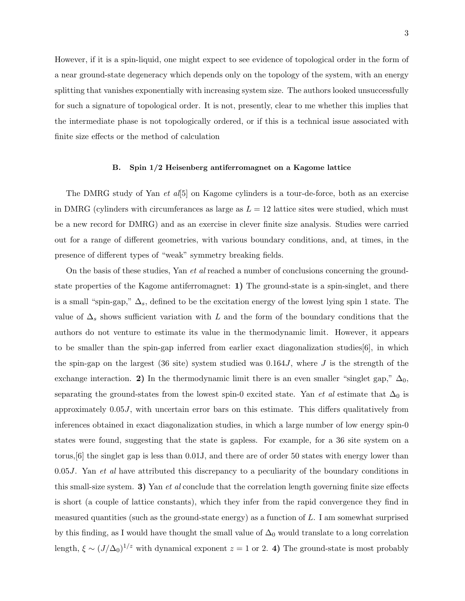However, if it is a spin-liquid, one might expect to see evidence of topological order in the form of a near ground-state degeneracy which depends only on the topology of the system, with an energy splitting that vanishes exponentially with increasing system size. The authors looked unsuccessfully for such a signature of topological order. It is not, presently, clear to me whether this implies that the intermediate phase is not topologically ordered, or if this is a technical issue associated with finite size effects or the method of calculation

## B. Spin 1/2 Heisenberg antiferromagnet on a Kagome lattice

The DMRG study of Yan *et al*[5] on Kagome cylinders is a tour-de-force, both as an exercise in DMRG (cylinders with circumferances as large as  $L = 12$  lattice sites were studied, which must be a new record for DMRG) and as an exercise in clever finite size analysis. Studies were carried out for a range of different geometries, with various boundary conditions, and, at times, in the presence of different types of "weak" symmetry breaking fields.

On the basis of these studies, Yan *et al* reached a number of conclusions concerning the groundstate properties of the Kagome antiferromagnet: 1) The ground-state is a spin-singlet, and there is a small "spin-gap,"  $\Delta_s$ , defined to be the excitation energy of the lowest lying spin 1 state. The value of  $\Delta_s$  shows sufficient variation with L and the form of the boundary conditions that the authors do not venture to estimate its value in the thermodynamic limit. However, it appears to be smaller than the spin-gap inferred from earlier exact diagonalization studies[6], in which the spin-gap on the largest (36 site) system studied was  $0.164J$ , where J is the strength of the exchange interaction. 2) In the thermodynamic limit there is an even smaller "singlet gap,"  $\Delta_0$ , separating the ground-states from the lowest spin-0 excited state. Yan *et al* estimate that  $\Delta_0$  is approximately 0.05J, with uncertain error bars on this estimate. This differs qualitatively from inferences obtained in exact diagonalization studies, in which a large number of low energy spin-0 states were found, suggesting that the state is gapless. For example, for a 36 site system on a torus,[6] the singlet gap is less than 0.01J, and there are of order 50 states with energy lower than 0.05*J*. Yan *et al* have attributed this discrepancy to a peculiarity of the boundary conditions in this small-size system. 3) Yan *et al* conclude that the correlation length governing finite size effects is short (a couple of lattice constants), which they infer from the rapid convergence they find in measured quantities (such as the ground-state energy) as a function of  $L$ . I am somewhat surprised by this finding, as I would have thought the small value of  $\Delta_0$  would translate to a long correlation length,  $\xi \sim (J/\Delta_0)^{1/z}$  with dynamical exponent  $z = 1$  or 2. 4) The ground-state is most probably